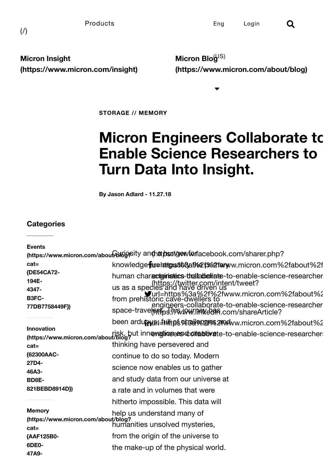Micron Insight [\(https://www.micron.com/insight\)](https://www.micron.com/insight)

Micron Blo $\mathcal{G}^{\text{JS)}}$ [\(https://www.micron.com/about/blog\)](https://www.micron.com/about/blog)

STORAGE // MEMORY

# **Micron Engineers Collaborate to** Enable Science Researchers to Turn Data Into Insight.

 $\blacktriangledown$ 

By Jason Adlard - 11.27.18

## **Categories**

| <b>Events</b>                                                                      |                                                                                                                                                                                         |  |
|------------------------------------------------------------------------------------|-----------------------------------------------------------------------------------------------------------------------------------------------------------------------------------------|--|
| (https://www.micron.com/about by goity antharport gew for facebook.com/sharer.php? |                                                                                                                                                                                         |  |
| $cat =$                                                                            | knowledge <b>fare attges 368at%2f%2farw</b> w.micron.com%2fabout%2f                                                                                                                     |  |
| {DE54CA72-<br>194E-<br>4347-                                                       | human characteinistics-thaltabefriate-to-enable-science-researcher<br>(https://twitter.com/intent/tweet?<br>us as a species and have driven us                                          |  |
| <b>B3FC-</b><br>77DB7758449F})                                                     | ds as a species with the War 2fwww.micron.com%2fabout%2<br>from prehistoric cave-dwellers to<br>engineers-collaborate-to-enable-science-researcher<br>space-trave(eftensil/www.mexican) |  |
|                                                                                    | been ardu <b>pu</b> n fullt ps % all % 24 M www.micron.com % 2f about % 2                                                                                                               |  |
| <b>Innovation</b><br>$cat =$                                                       | risk, but innevationent of about/blog?<br>https://www.micron.com/about/blog?<br>thinking have persevered and                                                                            |  |
| {62300AAC-<br>27D4-                                                                | continue to do so today. Modern                                                                                                                                                         |  |
| 46A3-                                                                              | science now enables us to gather                                                                                                                                                        |  |
| <b>BD8E-</b>                                                                       | and study data from our universe at                                                                                                                                                     |  |
| 821BEBD8914D})                                                                     | a rate and in volumes that were                                                                                                                                                         |  |
|                                                                                    | hitherto impossible. This data will                                                                                                                                                     |  |
| <b>Memory</b><br>(https://www.micron.com/about/blog?<br>$cat =$                    | help us understand many of<br>humanities unsolved mysteries,                                                                                                                            |  |
| {AAF125B0-                                                                         | from the origin of the universe to                                                                                                                                                      |  |
| 6DE0-<br>47A9-                                                                     | the make-up of the physical world.                                                                                                                                                      |  |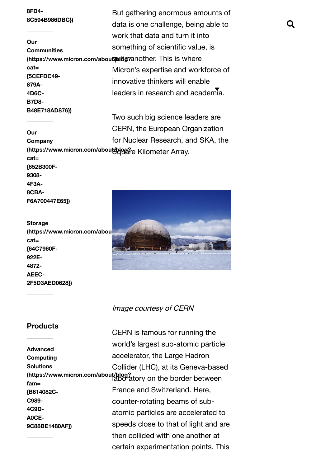#### 8FD4- [8C594B986DBC}\)](https://www.micron.com/about/blog?cat={AAF125B0-6DE0-47A9-8FD4-8C594B986DBC})

## Our **Communities** cat= {5CEFDC49- 879A-4D6C-B7D8- B48E718AD876})

#### Our Company cat= {652B300F-9308- 4F3A-8CBA-F6A700447E65})

#### Storage (https://www.micron.com/about cat= {64C7960F-

922E-4872- AEEC-2F5D3AED0628})

## **Products**

Advanced Computing Solutions fam= {B614082C-C989- 4C9D-A0CE-9C88BE1480AF})

8FD4-<br>But gathering enormous amounts of (https://www.micron.com/about/blitg?another. This is where data is one challenge, being able to work that data and turn it into something of scientific value, is Micron's expertise and workforce of innovative thinkers will enable leaders in research and academia.

(https://www.micron.com/aboutAppe?e Kilometer Array. Two such big science leaders are CERN, the European Organization for Nuclear Research, and SKA, the



## Image courtesy of CERN

[\(https://www.micron.com/about/blog?](https://www.micron.com/about/blog?fam={B614082C-C989-4C9D-A0CE-9C88BE1480AF}) laboratory on the border between CERN is famous for running the world's largest sub-atomic particle accelerator, the Large Hadron Collider (LHC), at its Geneva-based France and Switzerland. Here, counter-rotating beams of subatomic particles are accelerated to speeds close to that of light and are then collided with one another at certain experimentation points. This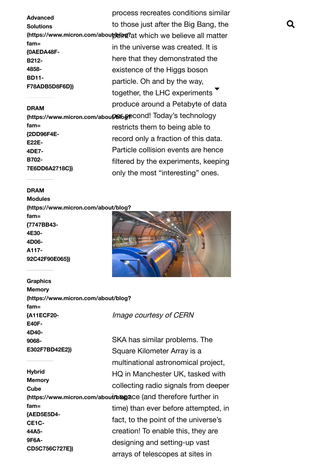process recreates conditions similar Advanced Solutions (https://www.micron.com/about bind?at which we believe all matter fam= {0AEDA48F-B212- 4858- BD11- F78ADB5D8F6D}) DRAM (https://www.micron.com/about/ba6esecond! Today's technology fam= {2DD96F4E-E22E-4DE7- B702- 7E6DD6A2718C}) to those just after the Big Bang, the in the universe was created. It is here that they demonstrated the existence of the Higgs boson particle. Oh and by the way, .<br>together, the LHC experiments ▼ produce around a Petabyte of data restricts them to being able to record only a fraction of this data. Particle collision events are hence filtered by the experiments, keeping only the most "interesting" ones.

#### DRAM

Modules [\(https://www.micron.com/about/blog?](https://www.micron.com/about/blog?fam={7747BB43-4E30-4D06-A117-92C42F90E065}) fam= {7747BB43- 4E30- 4D06- A117- 92C42F90E065})

#### **Graphics**

Memory [\(https://www.micron.com/about/blog?](https://www.micron.com/about/blog?fam={A11ECF20-E40F-4D40-9068-E302F7BD42E2}) fam= {A11ECF20- E40F-4D40- 9068- E302F7BD42E2}) Image courtesy of CERN

**Hybrid Memory Cube** fam= {AED5E5D4- CE1C-44A5- 9F6A-CD5C756C727E})



arrays of telescopes at sites in (https://www.micron.com/about/bbgace (and therefore further in SKA has similar problems. The Square Kilometer Array is a multinational astronomical project, HQ in Manchester UK, tasked with collecting radio signals from deeper time) than ever before attempted, in fact, to the point of the universe's creation! To enable this, they are designing and setting-up vast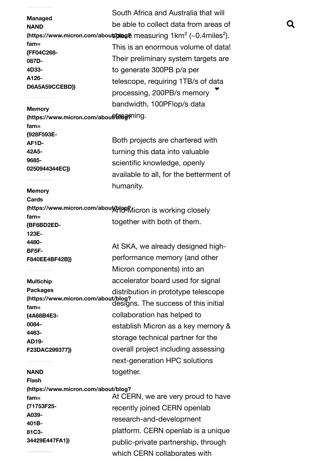| <b>Managed</b>                                 | South Africa and Australia that will                                                     |   |
|------------------------------------------------|------------------------------------------------------------------------------------------|---|
| <b>NAND</b>                                    | be able to collect data from areas of                                                    | Q |
|                                                | (https://www.micron.com/about/blage measuring $1 \text{km}^2$ (~0.4miles <sup>2</sup> ). |   |
| fam=                                           | This is an enormous volume of data!                                                      |   |
| {FF04C268-<br>087D-                            | Their preliminary system targets are                                                     |   |
| 4D33-                                          | to generate 300PB p/a per                                                                |   |
| A126-                                          | telescope, requiring 1TB/s of data                                                       |   |
| D6A5A59CCEBD})                                 |                                                                                          |   |
|                                                | processing, 200PB/s memory                                                               |   |
| <b>Memory</b>                                  | bandwidth, 100PFlop/s data                                                               |   |
| (https://www.micron.com/about)bisesning.       |                                                                                          |   |
| $fam =$                                        |                                                                                          |   |
| {928F593E-<br>AF1D-                            | Both projects are chartered with                                                         |   |
| 42A5-                                          | turning this data into valuable                                                          |   |
| 9685-                                          | scientific knowledge, openly                                                             |   |
| 0250944344EC})                                 |                                                                                          |   |
|                                                | available to all, for the betterment of                                                  |   |
| <b>Memory</b>                                  | humanity.                                                                                |   |
| Cards                                          |                                                                                          |   |
|                                                | (https://www.micron.com/about/ppgMicron is working closely                               |   |
| $fam =$                                        | together with both of them.                                                              |   |
| {BF6BD2ED-<br>123E-                            |                                                                                          |   |
| 4480-                                          |                                                                                          |   |
| BF5F-                                          | At SKA, we already designed high-                                                        |   |
| F840EE4BF42B})                                 | performance memory (and other                                                            |   |
|                                                | Micron components) into an                                                               |   |
| <b>Multichip</b>                               | accelerator board used for signal                                                        |   |
| <b>Packages</b>                                | distribution in prototype telescope                                                      |   |
| $fam =$                                        | (https://www.micron.com/about/blog?<br>designs. The success of this initial              |   |
| {4A68B4E3-                                     | collaboration has helped to                                                              |   |
| 0084-                                          | establish Micron as a key memory &                                                       |   |
| 4463-                                          |                                                                                          |   |
| AD19-                                          | storage technical partner for the                                                        |   |
| F23DAC299377})                                 | overall project including assessing                                                      |   |
|                                                | next-generation HPC solutions                                                            |   |
| <b>NAND</b>                                    | together.                                                                                |   |
| <b>Flash</b>                                   |                                                                                          |   |
| (https://www.micron.com/about/blog?<br>$fam =$ | At CERN, we are very proud to have                                                       |   |
| {71753F25-                                     | recently joined CERN openlab                                                             |   |
| A039-                                          |                                                                                          |   |
| 401B-                                          | research-and-development                                                                 |   |
| 81C3-                                          | platform. CERN openlab is a unique                                                       |   |
| 34429E447FA1})                                 | public-private partnership, through                                                      |   |
|                                                | which CERN collaborates with                                                             |   |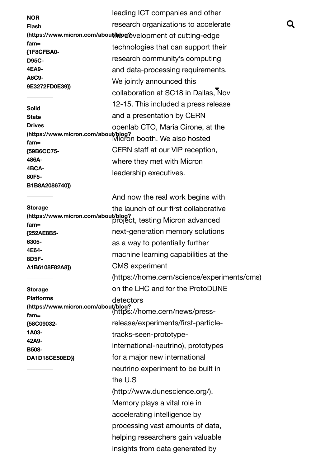leading ICT companies and other NOR Flash (https://www.micron.com/about/hboutelevelopment of cutting-edge fam= {1F8CFBA0- D95C-4EA9- A6C9- 9E3272FD0E39}) Solid **State Drives** [\(https://www.micron.com/about/blog?](https://www.micron.com/about/blog?fam={59B6CC75-486A-4BCA-80F5-B1B8A2086740})

{59B6CC75- 486A-4BCA-80F5- B1B8A2086740})

Storage [\(https://www.micron.com/about/blog?](https://www.micron.com/about/blog?fam={252AE8B5-6305-4E64-8D5F-A1B6108F82A8}) {252AE8B5- 6305- 4E64- 8D5F-A1B6108F82A8})

Storage Platforms fam= {58C09032- 1A03- 42A9- B508- DA1D18CE50ED})

fam= Micron booth. We also hosted research organizations to accelerate technologies that can support their research community's computing and data-processing requirements. We jointly announced this collaboration at SC18 in Dallas, Nov 12-15. This included a press release and a presentation by CERN openlab CTO, Maria Girone, at the CERN staff at our VIP reception, where they met with Micron leadership executives.

fam= project, testing Micron advanced [\(https://www.micron.com/about/blog?](https://www.micron.com/about/blog?fam={58C09032-1A03-42A9-B508-DA1D18CE50ED}) (https://home.cern/news/press-And now the real work begins with the launch of our first collaborative next-generation memory solutions as a way to potentially further machine learning capabilities at the CMS experiment [\(https://home.cern/science/experiments/cms\)](https://home.cern/science/experiments/cms) on the LHC and for the ProtoDUNE detectors [release/experiments/first-particle](https://home.cern/news/press-release/experiments/first-particle-tracks-seen-prototype-international-neutrino)tracks-seen-prototypeinternational-neutrino), prototypes for a major new international neutrino experiment to be built in the U.S [\(http://www.dunescience.org/\).](http://www.dunescience.org/) Memory plays a vital role in accelerating intelligence by processing vast amounts of data, helping researchers gain valuable insights from data generated by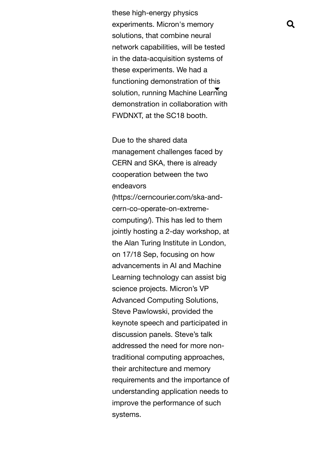these high-energy physics experiments. Micron's memory solutions, that combine neural network capabilities, will be tested in the data-acquisition systems of these experiments. We had a functioning demonstration of this solution, running Machine Learning demonstration in collaboration with FWDNXT, at the SC18 booth.

> Due to the shared data management challenges faced by CERN and SKA, there is already cooperation between the two endeavors

[\(https://cerncourier.com/ska-and](https://cerncourier.com/ska-and-cern-co-operate-on-extreme-computing/)cern-co-operate-on-extremecomputing/). This has led to them jointly hosting a 2-day workshop, at the Alan Turing Institute in London, on 17/18 Sep, focusing on how advancements in AI and Machine Learning technology can assist big science projects. Micron's VP Advanced Computing Solutions, Steve Pawlowski, provided the keynote speech and participated in discussion panels. Steve's talk addressed the need for more nontraditional computing approaches, their architecture and memory requirements and the importance of understanding application needs to improve the performance of such systems.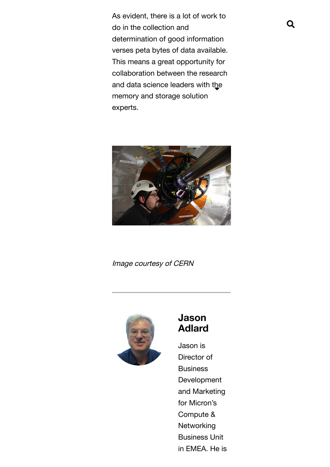As evident, there is a lot of work to do in the collection and determination of good information verses peta bytes of data available. This means a great opportunity for collaboration between the research and data science leaders with t $\mathbf{t}$ e memory and storage solution experts.



Image courtesy of CERN



# Jason Adlard

Jason is Director of **Business** Development and Marketing for Micron's Compute & **Networking** Business Unit in EMEA. He is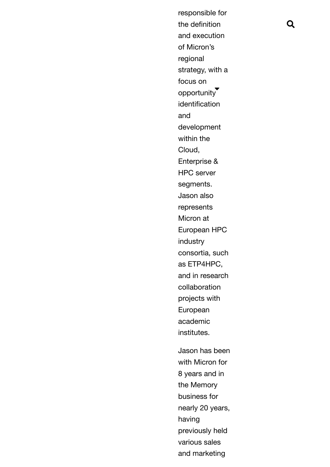12/10/2018 Micron Engineers Collaborate to Enable Science Researchers to Turn Data Into Insight. responsible for the definition and execution of Micron's regional strategy, with a focus on opportunity identification and development within the Cloud, Enterprise & HPC server segments. Jason also represents Micron at European HPC industry consortia, such as ETP4HPC, and in research collaboration projects with European academic institutes. Jason has been with Micron for 8 years and in the Memory business for nearly 20 years, having

Q

previously held various sales

https://www.micron-engineers-collaborate-to-enable-science-researchers-to-turn-data-into-insight 8/10 and marketing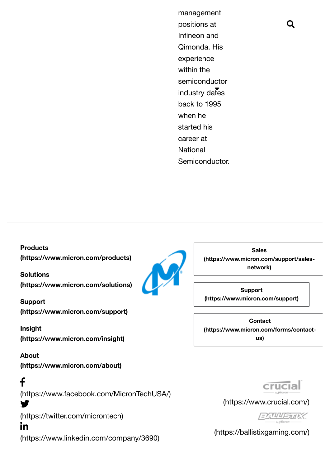12/10/2018 Microsoft Microsoft Collaborate to Enable Science Researchers to Turn Data Into Insight. The Insight Collaborate to Turn Data Into Insight. The Insight Collaborate to Turn Data Into Insight. The Insight Collabor positions at Infineon and Qimonda. His experience within the semiconductor industry dates back to 1995 when he started his career at **National** Semiconductor.

**Products** [\(https://www.micron.com/products\)](https://www.micron.com/products)

Solutions [\(https://www.micron.com/solutions\)](https://www.micron.com/solutions)

Support [\(https://www.micron.com/support\)](https://www.micron.com/support)

Insight [\(https://www.micron.com/insight\)](https://www.micron.com/insight)

About [\(https://www.micron.com/about\)](https://www.micron.com/about)

f

Y.

[\(https://www.facebook.com/MicronTechUSA/\)](https://www.facebook.com/MicronTechUSA/)

[\(https://twitter.com/microntech\)](https://twitter.com/microntech)

in

[\(https://www.linkedin.com/company/3690\)](https://www.linkedin.com/company/3690)

Sales [\(https://www.micron.com/support/sales](https://www.micron.com/support/sales-network)network)

Support [\(https://www.micron.com/support\)](https://www.micron.com/support)

**Contact** [\(https://www.micron.com/forms/contact](https://www.micron.com/forms/contact-us)us)



[\(https://www.crucial.com/\)](https://www.crucial.com/)



[\(https://ballistixgaming.com/\)](https://ballistixgaming.com/)